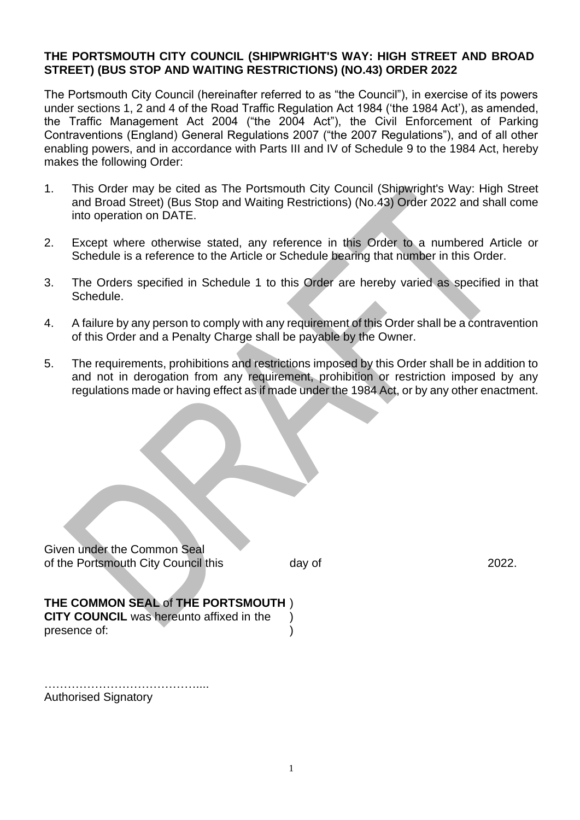## **THE PORTSMOUTH CITY COUNCIL (SHIPWRIGHT'S WAY: HIGH STREET AND BROAD STREET) (BUS STOP AND WAITING RESTRICTIONS) (NO.43) ORDER 2022**

The Portsmouth City Council (hereinafter referred to as "the Council"), in exercise of its powers under sections 1, 2 and 4 of the Road Traffic Regulation Act 1984 ('the 1984 Act'), as amended, the Traffic Management Act 2004 ("the 2004 Act"), the Civil Enforcement of Parking Contraventions (England) General Regulations 2007 ("the 2007 Regulations"), and of all other enabling powers, and in accordance with Parts III and IV of Schedule 9 to the 1984 Act, hereby makes the following Order:

- 1. This Order may be cited as The Portsmouth City Council (Shipwright's Way: High Street and Broad Street) (Bus Stop and Waiting Restrictions) (No.43) Order 2022 and shall come into operation on DATE.
- 2. Except where otherwise stated, any reference in this Order to a numbered Article or Schedule is a reference to the Article or Schedule bearing that number in this Order.
- 3. The Orders specified in Schedule 1 to this Order are hereby varied as specified in that Schedule.
- 4. A failure by any person to comply with any requirement of this Order shall be a contravention of this Order and a Penalty Charge shall be payable by the Owner.
- 5. The requirements, prohibitions and restrictions imposed by this Order shall be in addition to and not in derogation from any requirement, prohibition or restriction imposed by any regulations made or having effect as if made under the 1984 Act, or by any other enactment.

| Given under the Common Seal         |        |       |
|-------------------------------------|--------|-------|
| of the Portsmouth City Council this | day of | 2022. |

| THE COMMON SEAL of THE PORTSMOUTH)              |  |
|-------------------------------------------------|--|
| <b>CITY COUNCIL</b> was hereunto affixed in the |  |
| presence of:                                    |  |

………………………………….... Authorised Signatory